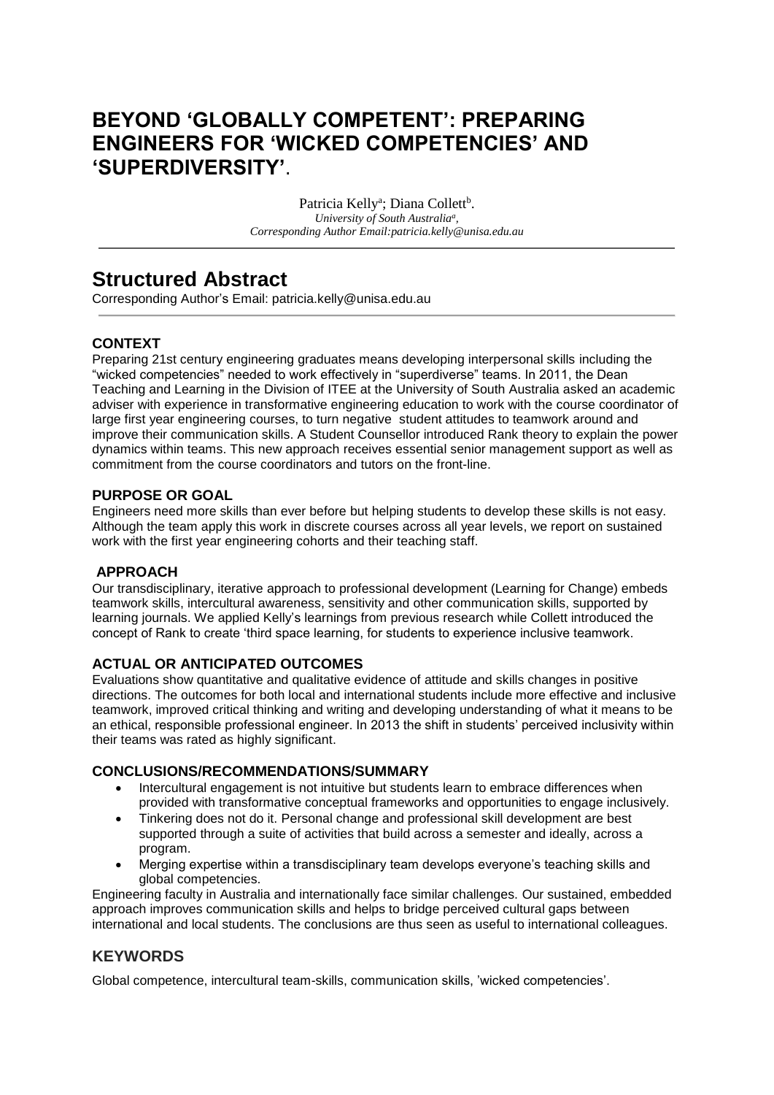# **BEYOND 'GLOBALLY COMPETENT': PREPARING ENGINEERS FOR 'WICKED COMPETENCIES' AND 'SUPERDIVERSITY'**.

Patricia Kelly<sup>a</sup>; Diana Collett<sup>b</sup>. *University of South Australia<sup>a</sup> , Corresponding Author Email:patricia.kelly@unisa.edu.au*

# **Structured Abstract**

Corresponding Author's Email: patricia.kelly@unisa.edu.au

### **CONTEXT**

Preparing 21st century engineering graduates means developing interpersonal skills including the "wicked competencies" needed to work effectively in "superdiverse" teams. In 2011, the Dean Teaching and Learning in the Division of ITEE at the University of South Australia asked an academic adviser with experience in transformative engineering education to work with the course coordinator of large first year engineering courses, to turn negative student attitudes to teamwork around and improve their communication skills. A Student Counsellor introduced Rank theory to explain the power dynamics within teams. This new approach receives essential senior management support as well as commitment from the course coordinators and tutors on the front-line.

#### **PURPOSE OR GOAL**

Engineers need more skills than ever before but helping students to develop these skills is not easy. Although the team apply this work in discrete courses across all year levels, we report on sustained work with the first year engineering cohorts and their teaching staff.

#### **APPROACH**

Our transdisciplinary, iterative approach to professional development (Learning for Change) embeds teamwork skills, intercultural awareness, sensitivity and other communication skills, supported by learning journals. We applied Kelly's learnings from previous research while Collett introduced the concept of Rank to create 'third space learning, for students to experience inclusive teamwork.

#### **ACTUAL OR ANTICIPATED OUTCOMES**

Evaluations show quantitative and qualitative evidence of attitude and skills changes in positive directions. The outcomes for both local and international students include more effective and inclusive teamwork, improved critical thinking and writing and developing understanding of what it means to be an ethical, responsible professional engineer. In 2013 the shift in students' perceived inclusivity within their teams was rated as highly significant.

#### **CONCLUSIONS/RECOMMENDATIONS/SUMMARY**

- Intercultural engagement is not intuitive but students learn to embrace differences when provided with transformative conceptual frameworks and opportunities to engage inclusively.
- Tinkering does not do it. Personal change and professional skill development are best supported through a suite of activities that build across a semester and ideally, across a program.
- Merging expertise within a transdisciplinary team develops everyone's teaching skills and global competencies.

Engineering faculty in Australia and internationally face similar challenges. Our sustained, embedded approach improves communication skills and helps to bridge perceived cultural gaps between international and local students. The conclusions are thus seen as useful to international colleagues.

### **KEYWORDS**

Global competence, intercultural team-skills, communication skills, 'wicked competencies'.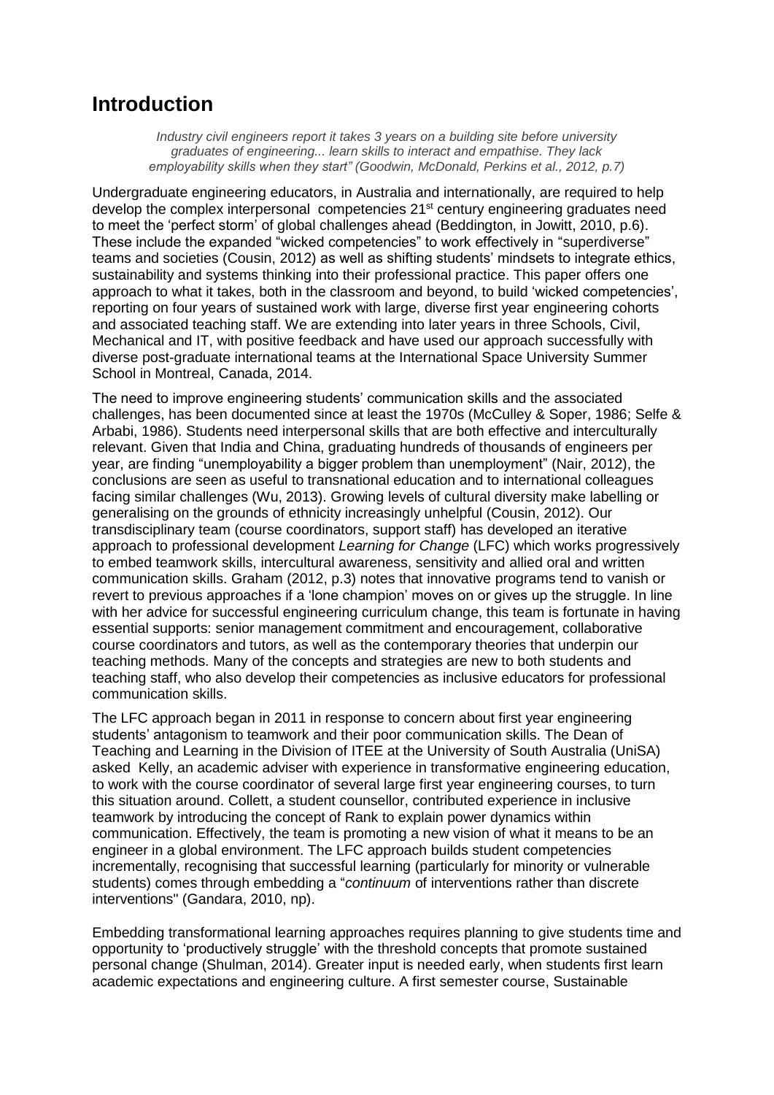# **Introduction**

*Industry civil engineers report it takes 3 years on a building site before university graduates of engineering... learn skills to interact and empathise. They lack employability skills when they start" (Goodwin, McDonald, Perkins et al., 2012, p.7)*

Undergraduate engineering educators, in Australia and internationally, are required to help develop the complex interpersonal competencies 21<sup>st</sup> century engineering graduates need to meet the 'perfect storm' of global challenges ahead (Beddington, in Jowitt, 2010, p.6). These include the expanded "wicked competencies" to work effectively in "superdiverse" teams and societies (Cousin, 2012) as well as shifting students' mindsets to integrate ethics, sustainability and systems thinking into their professional practice. This paper offers one approach to what it takes, both in the classroom and beyond, to build 'wicked competencies', reporting on four years of sustained work with large, diverse first year engineering cohorts and associated teaching staff. We are extending into later years in three Schools, Civil, Mechanical and IT, with positive feedback and have used our approach successfully with diverse post-graduate international teams at the International Space University Summer School in Montreal, Canada, 2014.

The need to improve engineering students' communication skills and the associated challenges, has been documented since at least the 1970s (McCulley & Soper, 1986; Selfe & Arbabi, 1986). Students need interpersonal skills that are both effective and interculturally relevant. Given that India and China, graduating hundreds of thousands of engineers per year, are finding "unemployability a bigger problem than unemployment" (Nair, 2012), the conclusions are seen as useful to transnational education and to international colleagues facing similar challenges (Wu, 2013). Growing levels of cultural diversity make labelling or generalising on the grounds of ethnicity increasingly unhelpful (Cousin, 2012). Our transdisciplinary team (course coordinators, support staff) has developed an iterative approach to professional development *Learning for Change* (LFC) which works progressively to embed teamwork skills, intercultural awareness, sensitivity and allied oral and written communication skills. Graham (2012, p.3) notes that innovative programs tend to vanish or revert to previous approaches if a 'lone champion' moves on or gives up the struggle. In line with her advice for successful engineering curriculum change, this team is fortunate in having essential supports: senior management commitment and encouragement, collaborative course coordinators and tutors, as well as the contemporary theories that underpin our teaching methods. Many of the concepts and strategies are new to both students and teaching staff, who also develop their competencies as inclusive educators for professional communication skills.

The LFC approach began in 2011 in response to concern about first year engineering students' antagonism to teamwork and their poor communication skills. The Dean of Teaching and Learning in the Division of ITEE at the University of South Australia (UniSA) asked Kelly, an academic adviser with experience in transformative engineering education, to work with the course coordinator of several large first year engineering courses, to turn this situation around. Collett, a student counsellor, contributed experience in inclusive teamwork by introducing the concept of Rank to explain power dynamics within communication. Effectively, the team is promoting a new vision of what it means to be an engineer in a global environment. The LFC approach builds student competencies incrementally, recognising that successful learning (particularly for minority or vulnerable students) comes through embedding a "*continuum* of interventions rather than discrete interventions" (Gandara, 2010, np).

Embedding transformational learning approaches requires planning to give students time and opportunity to 'productively struggle' with the threshold concepts that promote sustained personal change (Shulman, 2014). Greater input is needed early, when students first learn academic expectations and engineering culture. A first semester course, Sustainable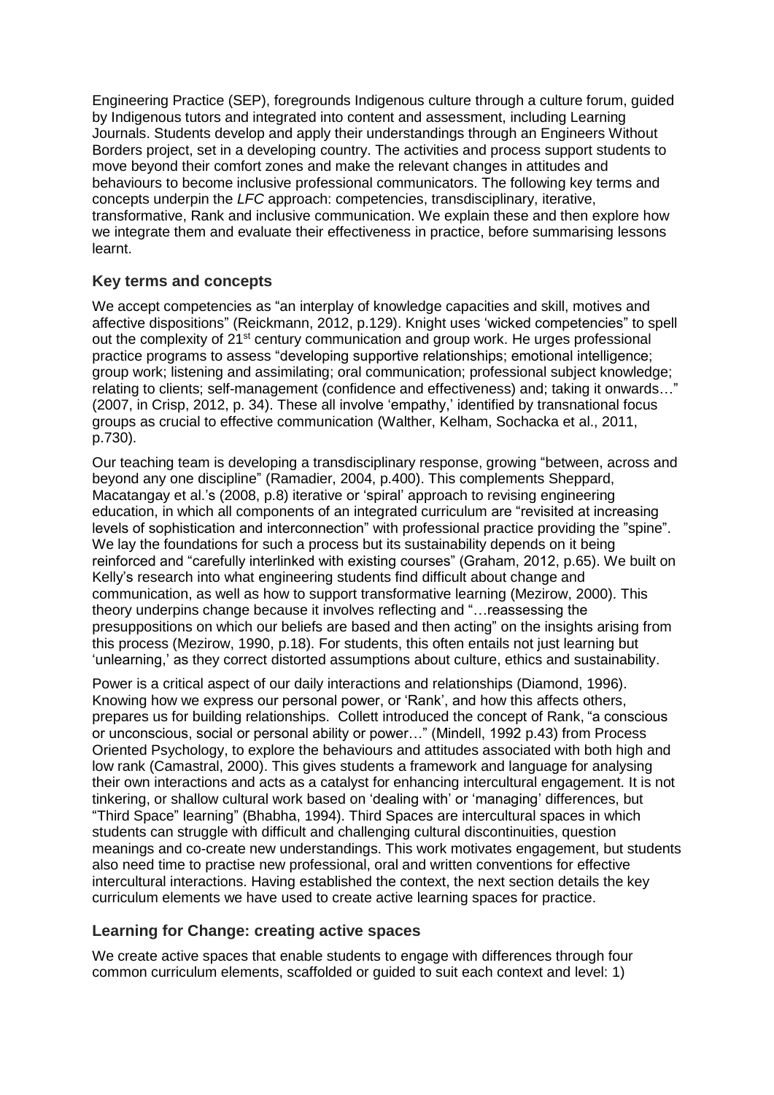Engineering Practice (SEP), foregrounds Indigenous culture through a culture forum, guided by Indigenous tutors and integrated into content and assessment, including Learning Journals. Students develop and apply their understandings through an Engineers Without Borders project, set in a developing country. The activities and process support students to move beyond their comfort zones and make the relevant changes in attitudes and behaviours to become inclusive professional communicators. The following key terms and concepts underpin the *LFC* approach: competencies, transdisciplinary, iterative, transformative, Rank and inclusive communication. We explain these and then explore how we integrate them and evaluate their effectiveness in practice, before summarising lessons learnt.

## **Key terms and concepts**

We accept competencies as "an interplay of knowledge capacities and skill, motives and affective dispositions" (Reickmann, 2012, p.129). Knight uses 'wicked competencies" to spell out the complexity of 21<sup>st</sup> century communication and group work. He urges professional practice programs to assess "developing supportive relationships; emotional intelligence; group work; listening and assimilating; oral communication; professional subject knowledge; relating to clients; self-management (confidence and effectiveness) and; taking it onwards…" (2007, in Crisp, 2012, p. 34). These all involve 'empathy,' identified by transnational focus groups as crucial to effective communication (Walther, Kelham, Sochacka et al., 2011, p.730).

Our teaching team is developing a transdisciplinary response, growing "between, across and beyond any one discipline" (Ramadier, 2004, p.400). This complements Sheppard, Macatangay et al.'s (2008, p.8) iterative or 'spiral' approach to revising engineering education, in which all components of an integrated curriculum are "revisited at increasing levels of sophistication and interconnection" with professional practice providing the "spine". We lay the foundations for such a process but its sustainability depends on it being reinforced and "carefully interlinked with existing courses" (Graham, 2012, p.65). We built on Kelly's research into what engineering students find difficult about change and communication, as well as how to support transformative learning (Mezirow, 2000). This theory underpins change because it involves reflecting and "…reassessing the presuppositions on which our beliefs are based and then acting" on the insights arising from this process (Mezirow, 1990, p.18). For students, this often entails not just learning but 'unlearning,' as they correct distorted assumptions about culture, ethics and sustainability.

Power is a critical aspect of our daily interactions and relationships (Diamond, 1996). Knowing how we express our personal power, or 'Rank', and how this affects others, prepares us for building relationships. Collett introduced the concept of Rank, "a conscious or unconscious, social or personal ability or power…" (Mindell, 1992 p.43) from Process Oriented Psychology, to explore the behaviours and attitudes associated with both high and low rank (Camastral, 2000). This gives students a framework and language for analysing their own interactions and acts as a catalyst for enhancing intercultural engagement. It is not tinkering, or shallow cultural work based on 'dealing with' or 'managing' differences, but "Third Space" learning" (Bhabha, 1994). Third Spaces are intercultural spaces in which students can struggle with difficult and challenging cultural discontinuities, question meanings and co-create new understandings. This work motivates engagement, but students also need time to practise new professional, oral and written conventions for effective intercultural interactions. Having established the context, the next section details the key curriculum elements we have used to create active learning spaces for practice.

### **Learning for Change: creating active spaces**

We create active spaces that enable students to engage with differences through four common curriculum elements, scaffolded or guided to suit each context and level: 1)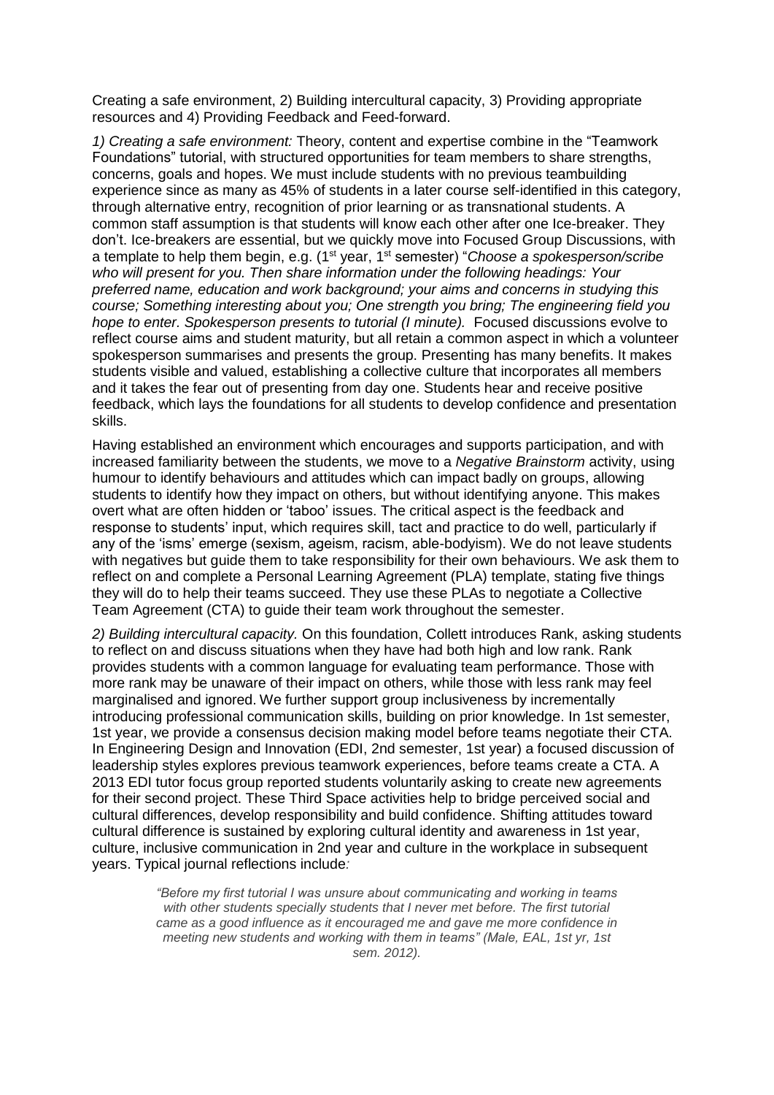Creating a safe environment, 2) Building intercultural capacity, 3) Providing appropriate resources and 4) Providing Feedback and Feed-forward.

*1) Creating a safe environment:* Theory, content and expertise combine in the "Teamwork Foundations" tutorial, with structured opportunities for team members to share strengths, concerns, goals and hopes. We must include students with no previous teambuilding experience since as many as 45% of students in a later course self-identified in this category, through alternative entry, recognition of prior learning or as transnational students. A common staff assumption is that students will know each other after one Ice-breaker. They don't. Ice-breakers are essential, but we quickly move into Focused Group Discussions, with a template to help them begin, e.g. (1st year, 1st semester) "*Choose a spokesperson/scribe who will present for you. Then share information under the following headings: Your preferred name, education and work background; your aims and concerns in studying this course; Something interesting about you; One strength you bring; The engineering field you hope to enter. Spokesperson presents to tutorial (I minute).* Focused discussions evolve to reflect course aims and student maturity, but all retain a common aspect in which a volunteer spokesperson summarises and presents the group. Presenting has many benefits. It makes students visible and valued, establishing a collective culture that incorporates all members and it takes the fear out of presenting from day one. Students hear and receive positive feedback, which lays the foundations for all students to develop confidence and presentation skills.

Having established an environment which encourages and supports participation, and with increased familiarity between the students, we move to a *Negative Brainstorm* activity, using humour to identify behaviours and attitudes which can impact badly on groups, allowing students to identify how they impact on others, but without identifying anyone. This makes overt what are often hidden or 'taboo' issues. The critical aspect is the feedback and response to students' input, which requires skill, tact and practice to do well, particularly if any of the 'isms' emerge (sexism, ageism, racism, able-bodyism). We do not leave students with negatives but guide them to take responsibility for their own behaviours. We ask them to reflect on and complete a Personal Learning Agreement (PLA) template, stating five things they will do to help their teams succeed. They use these PLAs to negotiate a Collective Team Agreement (CTA) to guide their team work throughout the semester.

*2) Building intercultural capacity.* On this foundation, Collett introduces Rank, asking students to reflect on and discuss situations when they have had both high and low rank. Rank provides students with a common language for evaluating team performance. Those with more rank may be unaware of their impact on others, while those with less rank may feel marginalised and ignored. We further support group inclusiveness by incrementally introducing professional communication skills, building on prior knowledge. In 1st semester, 1st year, we provide a consensus decision making model before teams negotiate their CTA. In Engineering Design and Innovation (EDI, 2nd semester, 1st year) a focused discussion of leadership styles explores previous teamwork experiences, before teams create a CTA. A 2013 EDI tutor focus group reported students voluntarily asking to create new agreements for their second project. These Third Space activities help to bridge perceived social and cultural differences, develop responsibility and build confidence. Shifting attitudes toward cultural difference is sustained by exploring cultural identity and awareness in 1st year, culture, inclusive communication in 2nd year and culture in the workplace in subsequent years. Typical journal reflections include*:*

> *"Before my first tutorial I was unsure about communicating and working in teams with other students specially students that I never met before. The first tutorial came as a good influence as it encouraged me and gave me more confidence in meeting new students and working with them in teams" (Male, EAL, 1st yr, 1st sem. 2012).*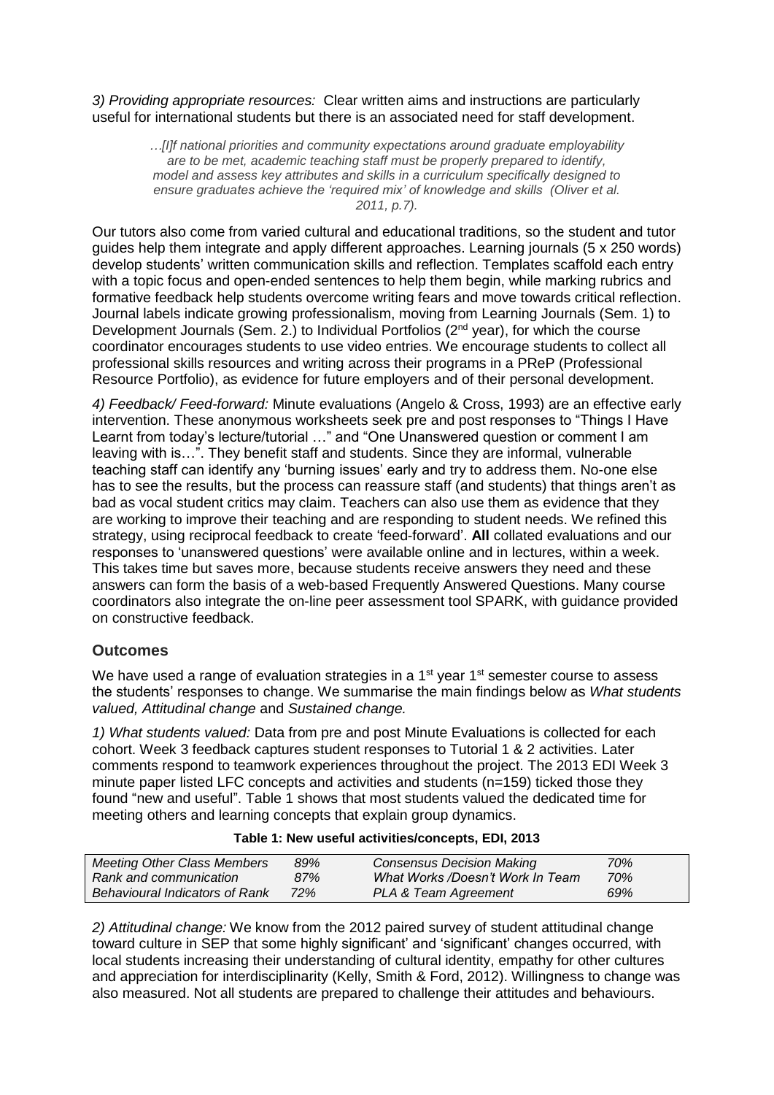*3) Providing appropriate resources:* Clear written aims and instructions are particularly useful for international students but there is an associated need for staff development.

> *…[I]f national priorities and community expectations around graduate employability are to be met, academic teaching staff must be properly prepared to identify, model and assess key attributes and skills in a curriculum specifically designed to ensure graduates achieve the 'required mix' of knowledge and skills (Oliver et al. 2011, p.7).*

Our tutors also come from varied cultural and educational traditions, so the student and tutor guides help them integrate and apply different approaches. Learning journals (5 x 250 words) develop students' written communication skills and reflection. Templates scaffold each entry with a topic focus and open-ended sentences to help them begin, while marking rubrics and formative feedback help students overcome writing fears and move towards critical reflection. Journal labels indicate growing professionalism, moving from Learning Journals (Sem. 1) to Development Journals (Sem. 2.) to Individual Portfolios ( $2<sup>nd</sup>$  year), for which the course coordinator encourages students to use video entries. We encourage students to collect all professional skills resources and writing across their programs in a PReP (Professional Resource Portfolio), as evidence for future employers and of their personal development.

*4) Feedback/ Feed-forward:* Minute evaluations (Angelo & Cross, 1993) are an effective early intervention. These anonymous worksheets seek pre and post responses to "Things I Have Learnt from today's lecture/tutorial …" and "One Unanswered question or comment I am leaving with is…". They benefit staff and students. Since they are informal, vulnerable teaching staff can identify any 'burning issues' early and try to address them. No-one else has to see the results, but the process can reassure staff (and students) that things aren't as bad as vocal student critics may claim. Teachers can also use them as evidence that they are working to improve their teaching and are responding to student needs. We refined this strategy, using reciprocal feedback to create 'feed-forward'. **All** collated evaluations and our responses to 'unanswered questions' were available online and in lectures, within a week. This takes time but saves more, because students receive answers they need and these answers can form the basis of a web-based Frequently Answered Questions. Many course coordinators also integrate the on-line peer assessment tool SPARK, with guidance provided on constructive feedback.

### **Outcomes**

We have used a range of evaluation strategies in a  $1<sup>st</sup>$  year  $1<sup>st</sup>$  semester course to assess the students' responses to change. We summarise the main findings below as *What students valued, Attitudinal change* and *Sustained change.*

*1) What students valued:* Data from pre and post Minute Evaluations is collected for each cohort. Week 3 feedback captures student responses to Tutorial 1 & 2 activities. Later comments respond to teamwork experiences throughout the project. The 2013 EDI Week 3 minute paper listed LFC concepts and activities and students (n=159) ticked those they found "new and useful". Table 1 shows that most students valued the dedicated time for meeting others and learning concepts that explain group dynamics.

| Table 1: New useful activities/concepts, EDI, 2013 |  |  |  |  |  |  |
|----------------------------------------------------|--|--|--|--|--|--|
|----------------------------------------------------|--|--|--|--|--|--|

| <b>Meeting Other Class Members</b>    | 89% | <b>Consensus Decision Making</b> | 70% |  |
|---------------------------------------|-----|----------------------------------|-----|--|
| Rank and communication                | 87% | What Works /Doesn't Work In Team | 70% |  |
| <b>Behavioural Indicators of Rank</b> | 72% | PLA & Team Agreement             | 69% |  |

*2) Attitudinal change:* We know from the 2012 paired survey of student attitudinal change toward culture in SEP that some highly significant' and 'significant' changes occurred, with local students increasing their understanding of cultural identity, empathy for other cultures and appreciation for interdisciplinarity (Kelly, Smith & Ford, 2012). Willingness to change was also measured. Not all students are prepared to challenge their attitudes and behaviours.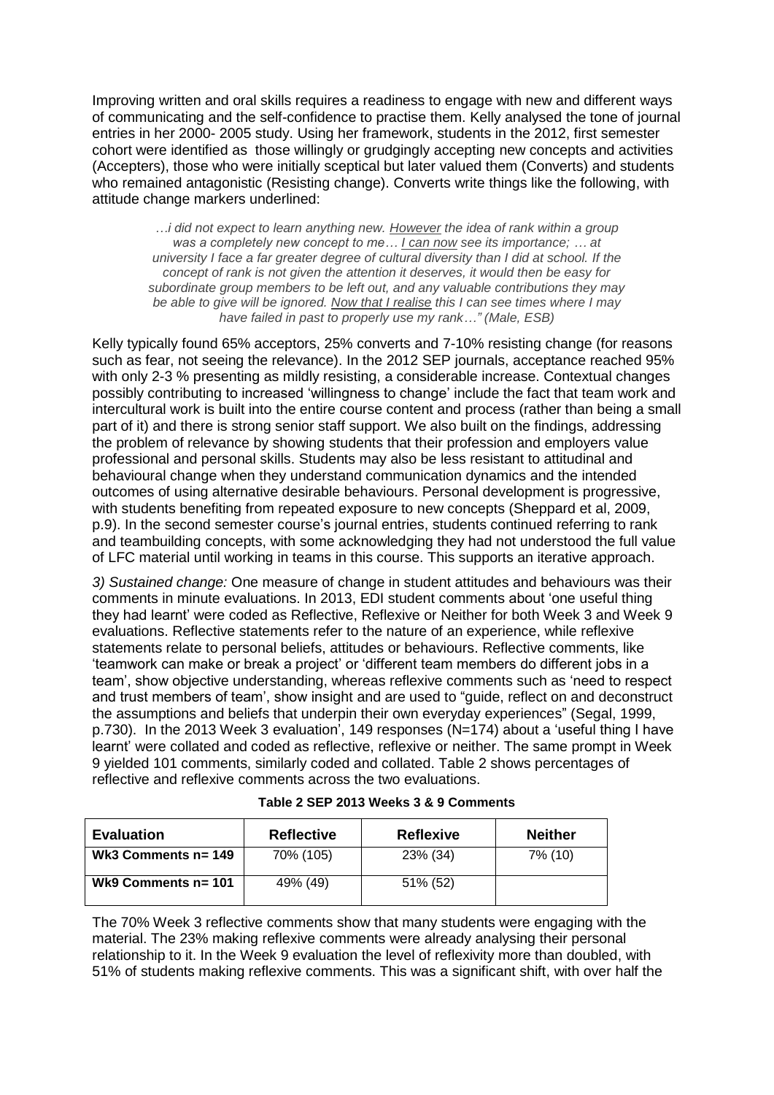Improving written and oral skills requires a readiness to engage with new and different ways of communicating and the self-confidence to practise them. Kelly analysed the tone of journal entries in her 2000- 2005 study. Using her framework, students in the 2012, first semester cohort were identified as those willingly or grudgingly accepting new concepts and activities (Accepters), those who were initially sceptical but later valued them (Converts) and students who remained antagonistic (Resisting change). Converts write things like the following, with attitude change markers underlined:

*…i did not expect to learn anything new. However the idea of rank within a group was a completely new concept to me… I can now see its importance; … at university I face a far greater degree of cultural diversity than I did at school. If the concept of rank is not given the attention it deserves, it would then be easy for subordinate group members to be left out, and any valuable contributions they may be able to give will be ignored. Now that I realise this I can see times where I may have failed in past to properly use my rank…" (Male, ESB)* 

Kelly typically found 65% acceptors, 25% converts and 7-10% resisting change (for reasons such as fear, not seeing the relevance). In the 2012 SEP journals, acceptance reached 95% with only 2-3 % presenting as mildly resisting, a considerable increase. Contextual changes possibly contributing to increased 'willingness to change' include the fact that team work and intercultural work is built into the entire course content and process (rather than being a small part of it) and there is strong senior staff support. We also built on the findings, addressing the problem of relevance by showing students that their profession and employers value professional and personal skills. Students may also be less resistant to attitudinal and behavioural change when they understand communication dynamics and the intended outcomes of using alternative desirable behaviours. Personal development is progressive, with students benefiting from repeated exposure to new concepts (Sheppard et al, 2009, p.9). In the second semester course's journal entries, students continued referring to rank and teambuilding concepts, with some acknowledging they had not understood the full value of LFC material until working in teams in this course. This supports an iterative approach.

*3) Sustained change:* One measure of change in student attitudes and behaviours was their comments in minute evaluations. In 2013, EDI student comments about 'one useful thing they had learnt' were coded as Reflective, Reflexive or Neither for both Week 3 and Week 9 evaluations. Reflective statements refer to the nature of an experience, while reflexive statements relate to personal beliefs, attitudes or behaviours. Reflective comments, like 'teamwork can make or break a project' or 'different team members do different jobs in a team', show objective understanding, whereas reflexive comments such as 'need to respect and trust members of team', show insight and are used to "guide, reflect on and deconstruct the assumptions and beliefs that underpin their own everyday experiences" (Segal, 1999, p.730). In the 2013 Week 3 evaluation', 149 responses (N=174) about a 'useful thing I have learnt' were collated and coded as reflective, reflexive or neither. The same prompt in Week 9 yielded 101 comments, similarly coded and collated. Table 2 shows percentages of reflective and reflexive comments across the two evaluations.

| <b>Evaluation</b>      | <b>Reflective</b> | <b>Reflexive</b> | <b>Neither</b> |
|------------------------|-------------------|------------------|----------------|
| Wk3 Comments $n = 149$ | 70% (105)         | 23% (34)         | 7% (10)        |
| Wk9 Comments $n = 101$ | 49% (49)          | 51% (52)         |                |

| Table 2 SEP 2013 Weeks 3 & 9 Comments |  |  |
|---------------------------------------|--|--|
|---------------------------------------|--|--|

The 70% Week 3 reflective comments show that many students were engaging with the material. The 23% making reflexive comments were already analysing their personal relationship to it. In the Week 9 evaluation the level of reflexivity more than doubled, with 51% of students making reflexive comments. This was a significant shift, with over half the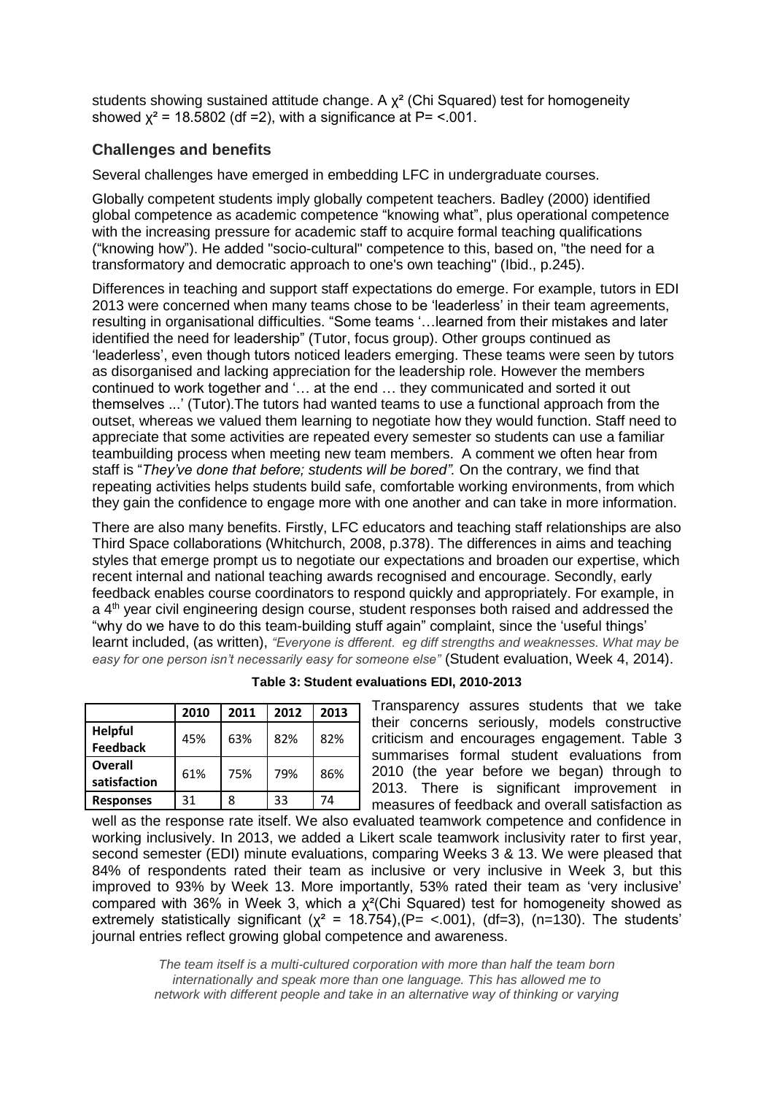students showing sustained attitude change. A  $\chi^2$  (Chi Squared) test for homogeneity showed  $x^2$  = 18.5802 (df = 2), with a significance at P=  $\leq$  001.

### **Challenges and benefits**

Several challenges have emerged in embedding LFC in undergraduate courses.

Globally competent students imply globally competent teachers. Badley (2000) identified global competence as academic competence "knowing what", plus operational competence with the increasing pressure for academic staff to acquire formal teaching qualifications ("knowing how"). He added "socio-cultural" competence to this, based on, "the need for a transformatory and democratic approach to one's own teaching" (Ibid., p.245).

Differences in teaching and support staff expectations do emerge. For example, tutors in EDI 2013 were concerned when many teams chose to be 'leaderless' in their team agreements, resulting in organisational difficulties. "Some teams '…learned from their mistakes and later identified the need for leadership" (Tutor, focus group). Other groups continued as 'leaderless', even though tutors noticed leaders emerging. These teams were seen by tutors as disorganised and lacking appreciation for the leadership role. However the members continued to work together and '… at the end … they communicated and sorted it out themselves ...' (Tutor).The tutors had wanted teams to use a functional approach from the outset, whereas we valued them learning to negotiate how they would function. Staff need to appreciate that some activities are repeated every semester so students can use a familiar teambuilding process when meeting new team members. A comment we often hear from staff is "*They've done that before; students will be bored".* On the contrary, we find that repeating activities helps students build safe, comfortable working environments, from which they gain the confidence to engage more with one another and can take in more information.

There are also many benefits. Firstly, LFC educators and teaching staff relationships are also Third Space collaborations (Whitchurch, 2008, p.378). The differences in aims and teaching styles that emerge prompt us to negotiate our expectations and broaden our expertise, which recent internal and national teaching awards recognised and encourage. Secondly, early feedback enables course coordinators to respond quickly and appropriately. For example, in a 4<sup>th</sup> year civil engineering design course, student responses both raised and addressed the "why do we have to do this team-building stuff again" complaint, since the 'useful things' learnt included, (as written), *"Everyone is dfferent. eg diff strengths and weaknesses. What may be easy for one person isn't necessarily easy for someone else"* (Student evaluation, Week 4, 2014).

|                                   | 2010 | 2011 | 2012 | 2013 |
|-----------------------------------|------|------|------|------|
| <b>Helpful</b><br><b>Feedback</b> | 45%  | 63%  | 82%  | 82%  |
| Overall<br>satisfaction           | 61%  | 75%  | 79%  | 86%  |
| <b>Responses</b>                  | 31   | 8    | 33   | 74   |

|  | Table 3: Student evaluations EDI, 2010-2013 |  |
|--|---------------------------------------------|--|
|  |                                             |  |

Transparency assures students that we take their concerns seriously, models constructive criticism and encourages engagement. Table 3 summarises formal student evaluations from 2010 (the year before we began) through to 2013. There is significant improvement in measures of feedback and overall satisfaction as

well as the response rate itself. We also evaluated teamwork competence and confidence in working inclusively. In 2013, we added a Likert scale teamwork inclusivity rater to first year, second semester (EDI) minute evaluations, comparing Weeks 3 & 13. We were pleased that 84% of respondents rated their team as inclusive or very inclusive in Week 3, but this improved to 93% by Week 13. More importantly, 53% rated their team as 'very inclusive' compared with 36% in Week 3, which a  $\chi^2$ (Chi Squared) test for homogeneity showed as extremely statistically significant ( $\chi^2$  = 18.754), (P= <.001), (df=3), (n=130). The students' journal entries reflect growing global competence and awareness.

> *The team itself is a multi-cultured corporation with more than half the team born internationally and speak more than one language. This has allowed me to network with different people and take in an alternative way of thinking or varying*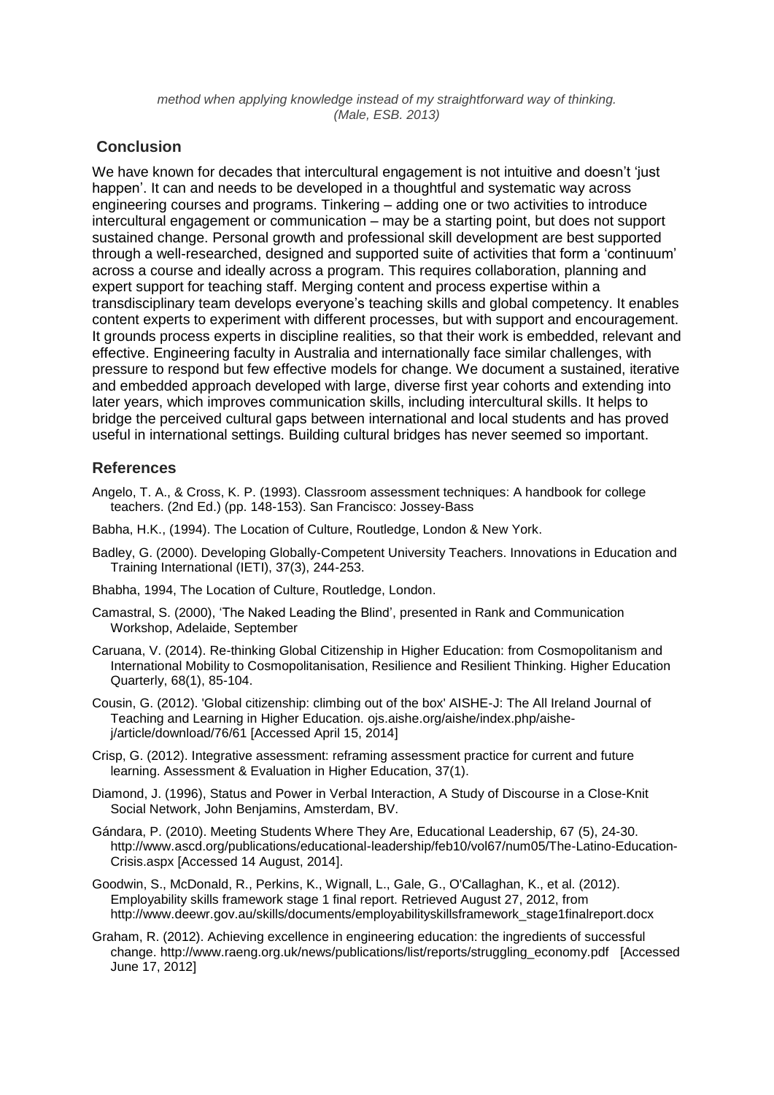*method when applying knowledge instead of my straightforward way of thinking. (Male, ESB. 2013)*

### **Conclusion**

We have known for decades that intercultural engagement is not intuitive and doesn't 'just happen'. It can and needs to be developed in a thoughtful and systematic way across engineering courses and programs. Tinkering – adding one or two activities to introduce intercultural engagement or communication – may be a starting point, but does not support sustained change. Personal growth and professional skill development are best supported through a well-researched, designed and supported suite of activities that form a 'continuum' across a course and ideally across a program. This requires collaboration, planning and expert support for teaching staff. Merging content and process expertise within a transdisciplinary team develops everyone's teaching skills and global competency. It enables content experts to experiment with different processes, but with support and encouragement. It grounds process experts in discipline realities, so that their work is embedded, relevant and effective. Engineering faculty in Australia and internationally face similar challenges, with pressure to respond but few effective models for change. We document a sustained, iterative and embedded approach developed with large, diverse first year cohorts and extending into later years, which improves communication skills, including intercultural skills. It helps to bridge the perceived cultural gaps between international and local students and has proved useful in international settings. Building cultural bridges has never seemed so important.

## **References**

- Angelo, T. A., & Cross, K. P. (1993). Classroom assessment techniques: A handbook for college teachers. (2nd Ed.) (pp. 148-153). San Francisco: Jossey-Bass
- Babha, H.K., (1994). The Location of Culture, Routledge, London & New York.
- Badley, G. (2000). Developing Globally-Competent University Teachers. Innovations in Education and Training International (IETI), 37(3), 244-253.
- Bhabha, 1994, The Location of Culture, Routledge, London.
- Camastral, S. (2000), 'The Naked Leading the Blind', presented in Rank and Communication Workshop, Adelaide, September
- Caruana, V. (2014). Re-thinking Global Citizenship in Higher Education: from Cosmopolitanism and International Mobility to Cosmopolitanisation, Resilience and Resilient Thinking. Higher Education Quarterly, 68(1), 85-104.
- Cousin, G. (2012). 'Global citizenship: climbing out of the box' AISHE-J: The All Ireland Journal of Teaching and Learning in Higher Education. ojs.aishe.org/aishe/index.php/aishej/article/download/76/61 [Accessed April 15, 2014]
- Crisp, G. (2012). Integrative assessment: reframing assessment practice for current and future learning. Assessment & Evaluation in Higher Education, 37(1).
- Diamond, J. (1996), Status and Power in Verbal Interaction, A Study of Discourse in a Close-Knit Social Network, John Benjamins, Amsterdam, BV.
- Gándara, P. (2010). Meeting Students Where They Are, Educational Leadership, 67 (5), 24-30. [http://www.ascd.org/publications/educational-leadership/feb10/vol67/num05/The-Latino-Education-](http://www.ascd.org/publications/educational-leadership/feb10/vol67/num05/The-Latino-Education-Crisis.aspx)[Crisis.aspx](http://www.ascd.org/publications/educational-leadership/feb10/vol67/num05/The-Latino-Education-Crisis.aspx) [Accessed 14 August, 2014].
- Goodwin, S., McDonald, R., Perkins, K., Wignall, L., Gale, G., O'Callaghan, K., et al. (2012). Employability skills framework stage 1 final report. Retrieved August 27, 2012, from [http://www.deewr.gov.au/skills/documents/employabilityskillsframework\\_stage1finalreport.docx](http://www.deewr.gov.au/skills/documents/employabilityskillsframework_stage1finalreport.docx)
- Graham, R. (2012). Achieving excellence in engineering education: the ingredients of successful change. http://www.raeng.org.uk/news/publications/list/reports/struggling\_economy.pdf [Accessed June 17, 2012]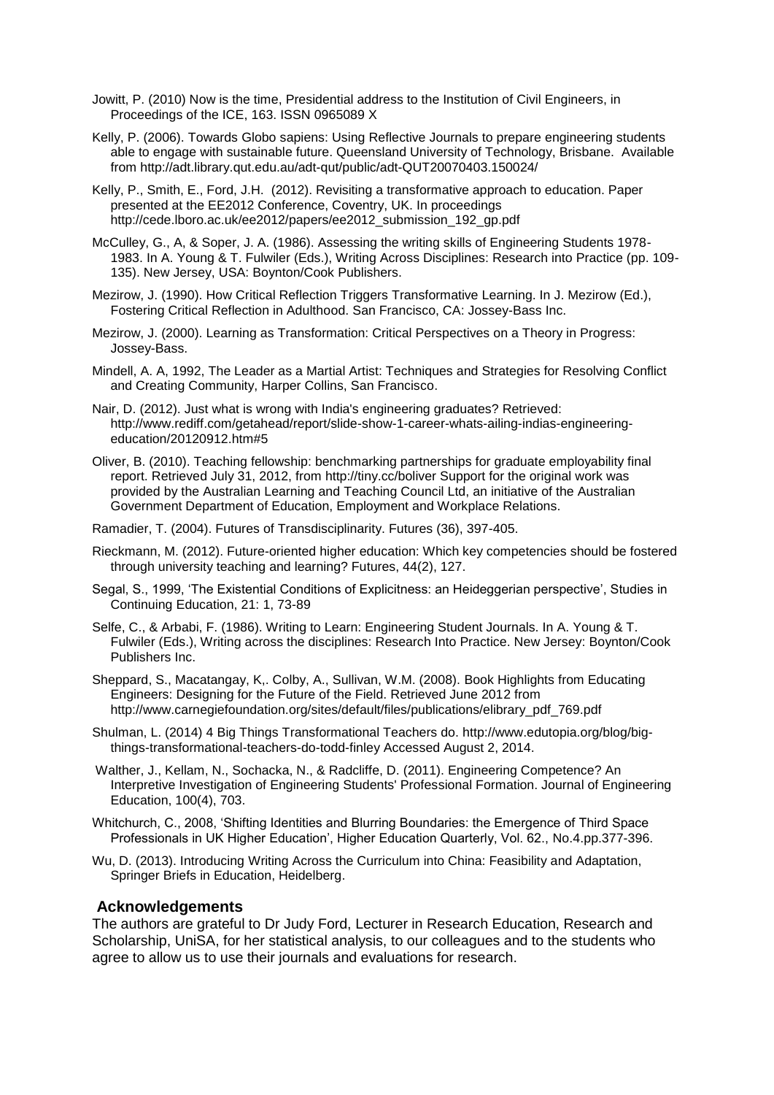- Jowitt, P. (2010) Now is the time, Presidential address to the Institution of Civil Engineers, in Proceedings of the ICE, 163. ISSN 0965089 X
- Kelly, P. (2006). Towards Globo sapiens: Using Reflective Journals to prepare engineering students able to engage with sustainable future. Queensland University of Technology, Brisbane. Available from<http://adt.library.qut.edu.au/adt-qut/public/adt-QUT20070403.150024/>
- Kelly, P., Smith, E., Ford, J.H. (2012). Revisiting a transformative approach to education. Paper presented at the EE2012 Conference, Coventry, UK. In proceedings .<br>[http://cede.lboro.ac.uk/ee2012/papers/ee2012\\_submission\\_192\\_gp.pdf](http://cede.lboro.ac.uk/ee2012/papers/ee2012_submission_192_gp.pdf)
- McCulley, G., A, & Soper, J. A. (1986). Assessing the writing skills of Engineering Students 1978- 1983. In A. Young & T. Fulwiler (Eds.), Writing Across Disciplines: Research into Practice (pp. 109- 135). New Jersey, USA: Boynton/Cook Publishers.
- Mezirow, J. (1990). How Critical Reflection Triggers Transformative Learning. In J. Mezirow (Ed.), Fostering Critical Reflection in Adulthood. San Francisco, CA: Jossey-Bass Inc.
- Mezirow, J. (2000). Learning as Transformation: Critical Perspectives on a Theory in Progress: Jossey-Bass.
- Mindell, A. A, 1992, The Leader as a Martial Artist: Techniques and Strategies for Resolving Conflict and Creating Community, Harper Collins, San Francisco.
- Nair, D. (2012). Just what is wrong with India's engineering graduates? Retrieved: [http://www.rediff.com/getahead/report/slide-show-1-career-whats-ailing-indias-engineering](http://www.rediff.com/getahead/report/slide-show-1-career-whats-ailing-indias-engineering-education/20120912.htm#5)[education/20120912.htm#5](http://www.rediff.com/getahead/report/slide-show-1-career-whats-ailing-indias-engineering-education/20120912.htm#5)
- Oliver, B. (2010). Teaching fellowship: benchmarking partnerships for graduate employability final report. Retrieved July 31, 2012, from<http://tiny.cc/boliver> Support for the original work was provided by the Australian Learning and Teaching Council Ltd, an initiative of the Australian Government Department of Education, Employment and Workplace Relations.
- Ramadier, T. (2004). Futures of Transdisciplinarity. Futures (36), 397-405.
- Rieckmann, M. (2012). Future-oriented higher education: Which key competencies should be fostered through university teaching and learning? Futures, 44(2), 127.
- Segal, S., 1999, 'The Existential Conditions of Explicitness: an Heideggerian perspective', Studies in Continuing Education, 21: 1, 73-89
- Selfe, C., & Arbabi, F. (1986). Writing to Learn: Engineering Student Journals. In A. Young & T. Fulwiler (Eds.), Writing across the disciplines: Research Into Practice. New Jersey: Boynton/Cook Publishers Inc.
- Sheppard, S., Macatangay, K,. Colby, A., Sullivan, W.M. (2008). Book Highlights from Educating Engineers: Designing for the Future of the Field. Retrieved June 2012 from http://www.carnegiefoundation.org/sites/default/files/publications/elibrary\_pdf\_769.pdf
- Shulman, L. (2014) 4 Big Things Transformational Teachers do. [http://www.edutopia.org/blog/big](http://www.edutopia.org/blog/big-things-transformational-teachers-do-todd-finley)[things-transformational-teachers-do-todd-finley](http://www.edutopia.org/blog/big-things-transformational-teachers-do-todd-finley) Accessed August 2, 2014.
- Walther, J., Kellam, N., Sochacka, N., & Radcliffe, D. (2011). Engineering Competence? An Interpretive Investigation of Engineering Students' Professional Formation. Journal of Engineering Education, 100(4), 703.
- Whitchurch, C., 2008, 'Shifting Identities and Blurring Boundaries: the Emergence of Third Space Professionals in UK Higher Education', Higher Education Quarterly, Vol. 62., No.4.pp.377-396.
- Wu, D. (2013). Introducing Writing Across the Curriculum into China: Feasibility and Adaptation, Springer Briefs in Education, Heidelberg.

#### **Acknowledgements**

The authors are grateful to Dr Judy Ford, Lecturer in Research Education, Research and Scholarship, UniSA, for her statistical analysis, to our colleagues and to the students who agree to allow us to use their journals and evaluations for research.